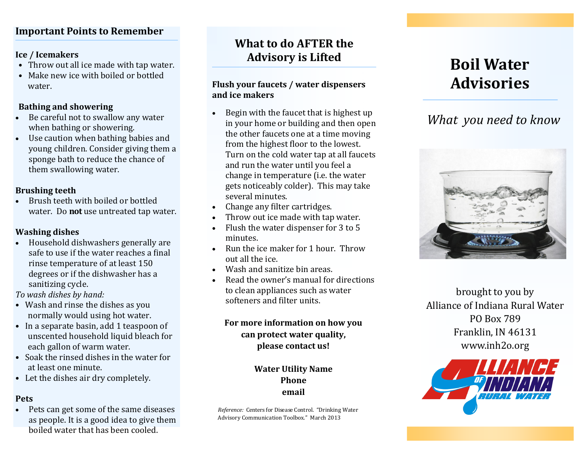## **Important Points to Remember**

#### **Ice / Icemakers**

- Throw out all ice made with tap water.
- Make new ice with boiled or bottled water.

#### **Bathing and showering**

- Be careful not to swallow any water when bathing or showering.
- Use caution when bathing babies and young children. Consider giving them a sponge bath to reduce the chance of them swallowing water.

#### **Brushing teeth**

 Brush teeth with boiled or bottled water. Do **not** use untreated tap water.

#### **Washing dishes**

 Household dishwashers generally are safe to use if the water reaches a final rinse temperature of at least 150 degrees or if the dishwasher has a sanitizing cycle.

*To wash dishes by hand:*

- Wash and rinse the dishes as you normally would using hot water.
- In a separate basin, add 1 teaspoon of unscented household liquid bleach for each gallon of warm water.
- Soak the rinsed dishes in the water for at least one minute.
- Let the dishes air dry completely.

## **Pets**

• Pets can get some of the same diseases as people. It is a good idea to give them boiled water that has been cooled.

## **What to do AFTER the Advisory is Lifted**

#### **Flush your faucets / water dispensers and ice makers**

- http://animals.national<br>http://animals.national<br>com/animals/com/animals/ Begin with the faucet that is highest up in your home or building and then open the other faucets one at a time moving from the highest floor to the lowest. Turn on the cold water tap at all faucets and run the water until you feel a change in temperature (i.e. the water gets noticeably colder). This may take several minutes.
- Change any filter cartridges.
- Throw out ice made with tap water.
- Flush the water dispenser for 3 to 5 minutes.
- Run the ice maker for 1 hour. Throw out all the ice.
- Wash and sanitize bin areas.
- Read the owner's manual for directions to clean appliances such as water softeners and filter units.

## **For more information on how you can protect water quality, please contact us!**

## **Water Utility Name Phone email**

*Reference:* Centers for Disease Control. "Drinking Water Advisory Communication Toolbox." March 2013

# **Boil Water Advisories**

# *What you need to know*



brought to you by Alliance of Indiana Rural Water PO Box 789 Franklin, IN 46131 www.inh2o.org